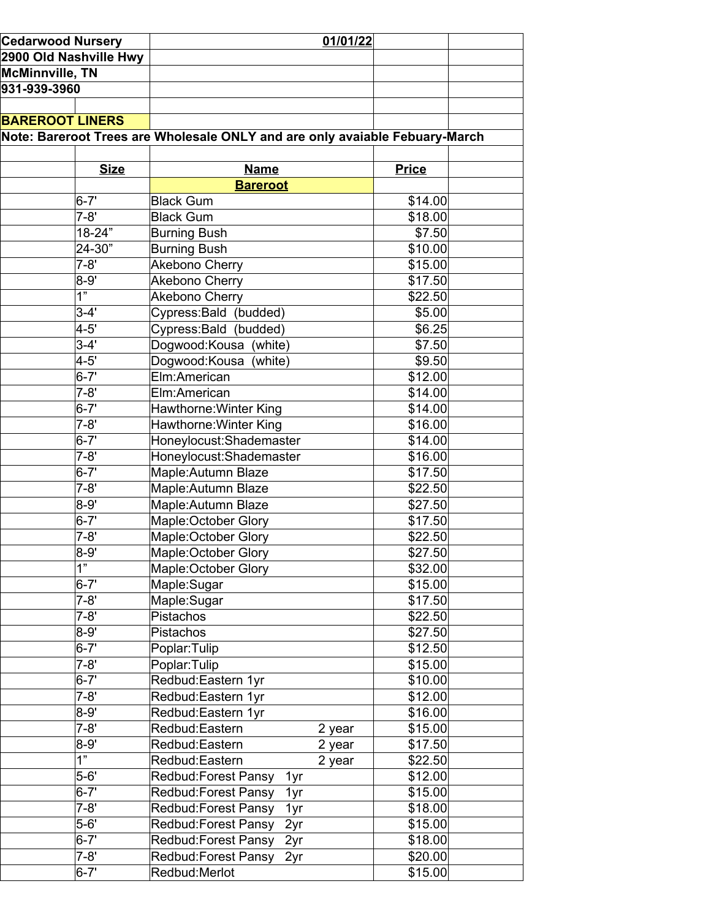| <b>Cedarwood Nursery</b><br>2900 Old Nashville Hwy |                | 01/01/22                                                                    |        |              |  |
|----------------------------------------------------|----------------|-----------------------------------------------------------------------------|--------|--------------|--|
|                                                    |                |                                                                             |        |              |  |
| <b>McMinnville, TN</b>                             |                |                                                                             |        |              |  |
| 931-939-3960                                       |                |                                                                             |        |              |  |
|                                                    |                |                                                                             |        |              |  |
| <b>BAREROOT LINERS</b>                             |                |                                                                             |        |              |  |
|                                                    |                | Note: Bareroot Trees are Wholesale ONLY and are only avaiable Febuary-March |        |              |  |
|                                                    |                |                                                                             |        |              |  |
|                                                    | <b>Size</b>    | <b>Name</b>                                                                 |        | <b>Price</b> |  |
|                                                    |                | <b>Bareroot</b>                                                             |        |              |  |
|                                                    | $6 - 7'$       | <b>Black Gum</b>                                                            |        | \$14.00      |  |
|                                                    | $7 - 8'$       | <b>Black Gum</b>                                                            |        | \$18.00      |  |
|                                                    | 18-24"         | <b>Burning Bush</b>                                                         |        | \$7.50       |  |
|                                                    | 24-30"         | <b>Burning Bush</b>                                                         |        | \$10.00      |  |
|                                                    | $7 - 8'$       | Akebono Cherry                                                              |        | \$15.00      |  |
|                                                    | $8 - 9'$       | Akebono Cherry                                                              |        | \$17.50      |  |
|                                                    | 1"             | Akebono Cherry                                                              |        | \$22.50      |  |
|                                                    | $3-4'$         | Cypress: Bald (budded)                                                      |        | \$5.00       |  |
|                                                    | $4 - 5'$       | Cypress: Bald (budded)                                                      |        | \$6.25       |  |
|                                                    | $3-4'$         | Dogwood:Kousa (white)                                                       |        | \$7.50       |  |
|                                                    | $4 - 5'$       | Dogwood:Kousa (white)                                                       |        | \$9.50       |  |
|                                                    | $6 - 7'$       | Elm:American                                                                |        |              |  |
|                                                    |                |                                                                             |        | \$12.00      |  |
|                                                    | $7 - 8'$       | Elm:American                                                                |        | \$14.00      |  |
|                                                    | $6 - 7'$       | Hawthorne: Winter King                                                      |        | \$14.00      |  |
|                                                    | $7 - 8'$       | Hawthorne: Winter King                                                      |        | \$16.00      |  |
|                                                    | $6 - 7'$       | Honeylocust: Shademaster                                                    |        | \$14.00      |  |
|                                                    | $7 - 8'$       | Honeylocust: Shademaster                                                    |        | \$16.00      |  |
|                                                    | $6 - 7'$       | Maple: Autumn Blaze                                                         |        | \$17.50      |  |
|                                                    | $7 - 8'$       | Maple: Autumn Blaze                                                         |        | \$22.50      |  |
|                                                    | $8 - 9'$       | Maple: Autumn Blaze                                                         |        | \$27.50      |  |
|                                                    | $6 - 7'$       | Maple: October Glory                                                        |        | \$17.50      |  |
|                                                    | $7 - 8'$       | Maple: October Glory                                                        |        | \$22.50      |  |
|                                                    | 8-9'           | Maple:October Glory                                                         |        | \$27.50      |  |
|                                                    | 1"             | Maple: October Glory                                                        |        | \$32.00      |  |
|                                                    | $6 - 7'$       | Maple:Sugar                                                                 |        | \$15.00      |  |
|                                                    | $7-8'$         | Maple:Sugar                                                                 |        | \$17.50      |  |
|                                                    | $7 - 8'$       | Pistachos                                                                   |        | \$22.50      |  |
|                                                    | $8 - 9'$       | Pistachos                                                                   |        | \$27.50      |  |
|                                                    | $6 - 7'$       | Poplar: Tulip                                                               |        | \$12.50      |  |
|                                                    | $7 - 8'$       | Poplar: Tulip                                                               |        | \$15.00      |  |
|                                                    | $6 - 7'$       | Redbud: Eastern 1yr                                                         |        | \$10.00      |  |
|                                                    | $7 - 8'$       | Redbud: Eastern 1yr                                                         |        | \$12.00      |  |
|                                                    | $8 - 9'$       | Redbud: Eastern 1yr                                                         |        | \$16.00      |  |
|                                                    | $7 - 8'$       | Redbud: Eastern                                                             | 2 year | \$15.00      |  |
|                                                    | $8 - 9'$       | Redbud:Eastern                                                              | 2 year | \$17.50      |  |
|                                                    | $\overline{1}$ | Redbud:Eastern                                                              | 2 year | \$22.50      |  |
|                                                    | $5 - 6'$       | Redbud: Forest Pansy<br>1yr                                                 |        | \$12.00      |  |
|                                                    | $6 - 7'$       | Redbud: Forest Pansy<br>1yr                                                 |        | \$15.00      |  |
|                                                    | $7 - 8'$       | Redbud: Forest Pansy<br>1yr                                                 |        | \$18.00      |  |
|                                                    | $5 - 6'$       | Redbud: Forest Pansy<br>2yr                                                 |        | \$15.00      |  |
|                                                    | $6 - 7'$       | Redbud: Forest Pansy<br>2yr                                                 |        | \$18.00      |  |
|                                                    | $7 - 8'$       | Redbud: Forest Pansy<br>2yr                                                 |        | \$20.00      |  |
|                                                    | $6 - 7'$       | Redbud: Merlot                                                              |        | \$15.00      |  |
|                                                    |                |                                                                             |        |              |  |